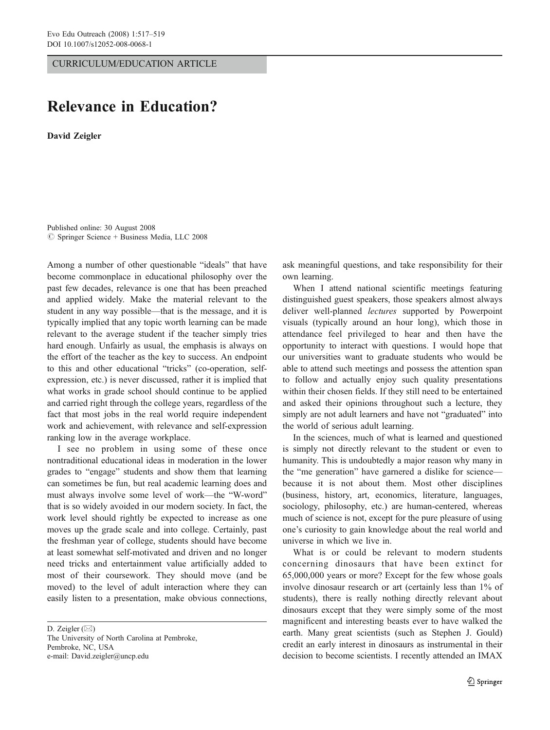CURRICULUM/EDUCATION ARTICLE

## Relevance in Education?

David Zeigler

Published online: 30 August 2008  $\oslash$  Springer Science + Business Media, LLC 2008

Among a number of other questionable "ideals" that have become commonplace in educational philosophy over the past few decades, relevance is one that has been preached and applied widely. Make the material relevant to the student in any way possible—that is the message, and it is typically implied that any topic worth learning can be made relevant to the average student if the teacher simply tries hard enough. Unfairly as usual, the emphasis is always on the effort of the teacher as the key to success. An endpoint to this and other educational "tricks" (co-operation, selfexpression, etc.) is never discussed, rather it is implied that what works in grade school should continue to be applied and carried right through the college years, regardless of the fact that most jobs in the real world require independent work and achievement, with relevance and self-expression ranking low in the average workplace.

I see no problem in using some of these once nontraditional educational ideas in moderation in the lower grades to "engage" students and show them that learning can sometimes be fun, but real academic learning does and must always involve some level of work—the "W-word" that is so widely avoided in our modern society. In fact, the work level should rightly be expected to increase as one moves up the grade scale and into college. Certainly, past the freshman year of college, students should have become at least somewhat self-motivated and driven and no longer need tricks and entertainment value artificially added to most of their coursework. They should move (and be moved) to the level of adult interaction where they can easily listen to a presentation, make obvious connections,

D. Zeigler (*\**) The University of North Carolina at Pembroke, Pembroke, NC, USA e-mail: David.zeigler@uncp.edu

ask meaningful questions, and take responsibility for their own learning.

When I attend national scientific meetings featuring distinguished guest speakers, those speakers almost always deliver well-planned lectures supported by Powerpoint visuals (typically around an hour long), which those in attendance feel privileged to hear and then have the opportunity to interact with questions. I would hope that our universities want to graduate students who would be able to attend such meetings and possess the attention span to follow and actually enjoy such quality presentations within their chosen fields. If they still need to be entertained and asked their opinions throughout such a lecture, they simply are not adult learners and have not "graduated" into the world of serious adult learning.

In the sciences, much of what is learned and questioned is simply not directly relevant to the student or even to humanity. This is undoubtedly a major reason why many in the "me generation" have garnered a dislike for science because it is not about them. Most other disciplines (business, history, art, economics, literature, languages, sociology, philosophy, etc.) are human-centered, whereas much of science is not, except for the pure pleasure of using one's curiosity to gain knowledge about the real world and universe in which we live in.

What is or could be relevant to modern students concerning dinosaurs that have been extinct for 65,000,000 years or more? Except for the few whose goals involve dinosaur research or art (certainly less than 1% of students), there is really nothing directly relevant about dinosaurs except that they were simply some of the most magnificent and interesting beasts ever to have walked the earth. Many great scientists (such as Stephen J. Gould) credit an early interest in dinosaurs as instrumental in their decision to become scientists. I recently attended an IMAX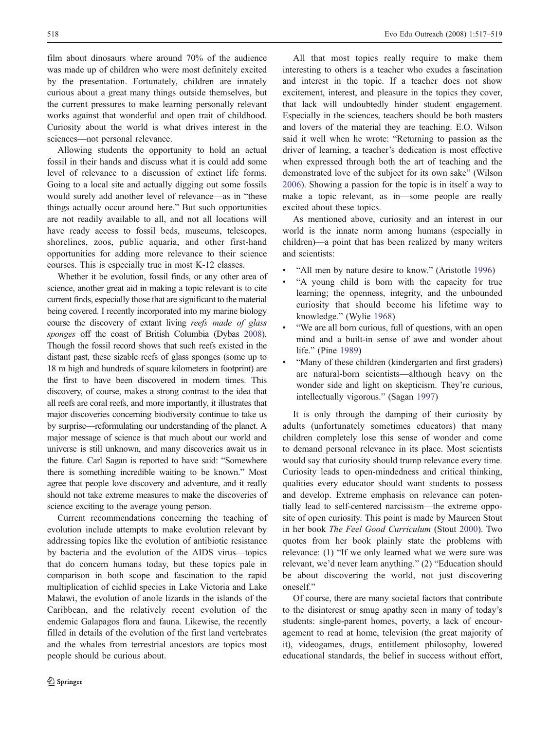film about dinosaurs where around 70% of the audience was made up of children who were most definitely excited by the presentation. Fortunately, children are innately curious about a great many things outside themselves, but the current pressures to make learning personally relevant works against that wonderful and open trait of childhood. Curiosity about the world is what drives interest in the sciences—not personal relevance.

Allowing students the opportunity to hold an actual fossil in their hands and discuss what it is could add some level of relevance to a discussion of extinct life forms. Going to a local site and actually digging out some fossils would surely add another level of relevance—as in "these things actually occur around here." But such opportunities are not readily available to all, and not all locations will have ready access to fossil beds, museums, telescopes, shorelines, zoos, public aquaria, and other first-hand opportunities for adding more relevance to their science courses. This is especially true in most K-12 classes.

Whether it be evolution, fossil finds, or any other area of science, another great aid in making a topic relevant is to cite current finds, especially those that are significant to the material being covered. I recently incorporated into my marine biology course the discovery of extant living reefs made of glass sponges off the coast of British Columbia (Dybas [2008\)](#page-2-0). Though the fossil record shows that such reefs existed in the distant past, these sizable reefs of glass sponges (some up to 18 m high and hundreds of square kilometers in footprint) are the first to have been discovered in modern times. This discovery, of course, makes a strong contrast to the idea that all reefs are coral reefs, and more importantly, it illustrates that major discoveries concerning biodiversity continue to take us by surprise—reformulating our understanding of the planet. A major message of science is that much about our world and universe is still unknown, and many discoveries await us in the future. Carl Sagan is reported to have said: "Somewhere there is something incredible waiting to be known." Most agree that people love discovery and adventure, and it really should not take extreme measures to make the discoveries of science exciting to the average young person.

Current recommendations concerning the teaching of evolution include attempts to make evolution relevant by addressing topics like the evolution of antibiotic resistance by bacteria and the evolution of the AIDS virus—topics that do concern humans today, but these topics pale in comparison in both scope and fascination to the rapid multiplication of cichlid species in Lake Victoria and Lake Malawi, the evolution of anole lizards in the islands of the Caribbean, and the relatively recent evolution of the endemic Galapagos flora and fauna. Likewise, the recently filled in details of the evolution of the first land vertebrates and the whales from terrestrial ancestors are topics most people should be curious about.

All that most topics really require to make them interesting to others is a teacher who exudes a fascination and interest in the topic. If a teacher does not show excitement, interest, and pleasure in the topics they cover, that lack will undoubtedly hinder student engagement. Especially in the sciences, teachers should be both masters and lovers of the material they are teaching. E.O. Wilson said it well when he wrote: "Returning to passion as the driver of learning, a teacher's dedication is most effective when expressed through both the art of teaching and the demonstrated love of the subject for its own sake" (Wilson [2006](#page-2-0)). Showing a passion for the topic is in itself a way to make a topic relevant, as in—some people are really excited about these topics.

As mentioned above, curiosity and an interest in our world is the innate norm among humans (especially in children)—a point that has been realized by many writers and scientists:

- "All men by nature desire to know." (Aristotle [1996](#page-2-0))
- & "A young child is born with the capacity for true learning; the openness, integrity, and the unbounded curiosity that should become his lifetime way to knowledge." (Wylie [1968\)](#page-2-0)
- "We are all born curious, full of questions, with an open mind and a built-in sense of awe and wonder about life." (Pine [1989](#page-2-0))
- & "Many of these children (kindergarten and first graders) are natural-born scientists—although heavy on the wonder side and light on skepticism. They're curious, intellectually vigorous." (Sagan [1997](#page-2-0))

It is only through the damping of their curiosity by adults (unfortunately sometimes educators) that many children completely lose this sense of wonder and come to demand personal relevance in its place. Most scientists would say that curiosity should trump relevance every time. Curiosity leads to open-mindedness and critical thinking, qualities every educator should want students to possess and develop. Extreme emphasis on relevance can potentially lead to self-centered narcissism—the extreme opposite of open curiosity. This point is made by Maureen Stout in her book The Feel Good Curriculum (Stout [2000\)](#page-2-0). Two quotes from her book plainly state the problems with relevance: (1) "If we only learned what we were sure was relevant, we'd never learn anything." (2) "Education should be about discovering the world, not just discovering oneself."

Of course, there are many societal factors that contribute to the disinterest or smug apathy seen in many of today's students: single-parent homes, poverty, a lack of encouragement to read at home, television (the great majority of it), videogames, drugs, entitlement philosophy, lowered educational standards, the belief in success without effort,